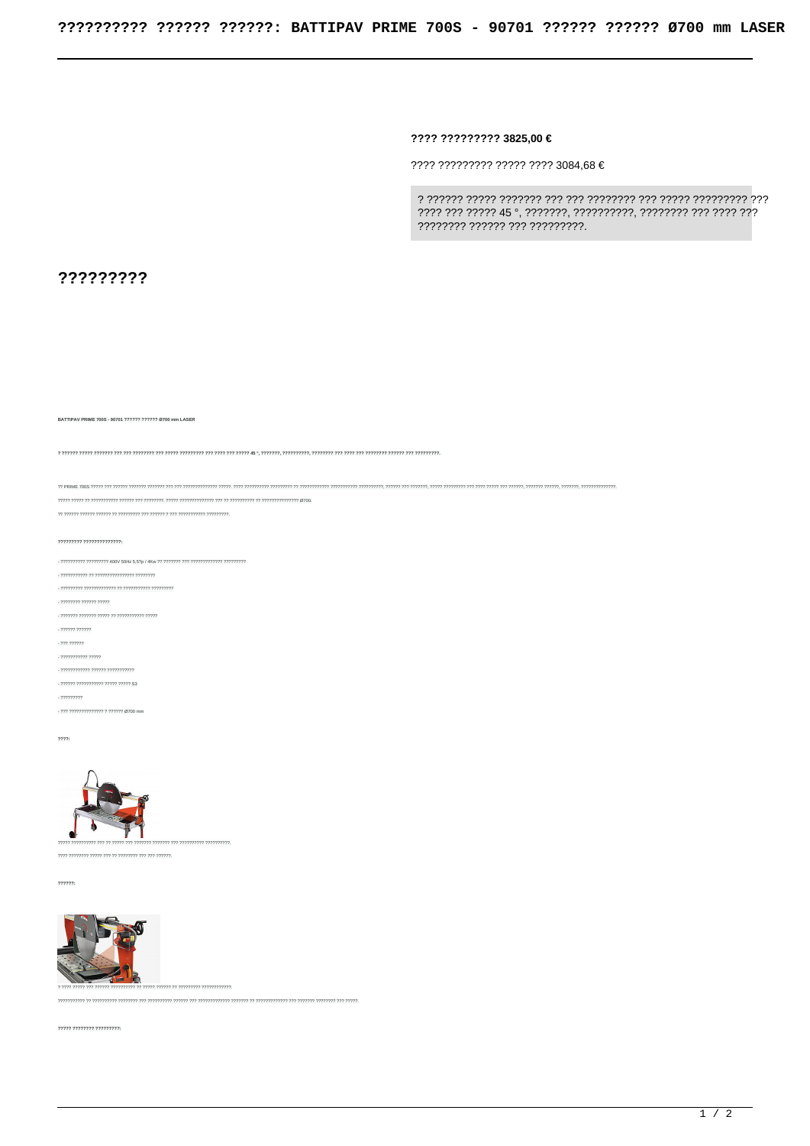???? ????????? 3825.00 €

 $?$ ??? ????????? ????? ???? 3084,68 €

7777777 777777 777 777777777.

?????????

BATTIPAV PRIME 700S - 90701 ?????? ?????? Ø700 mm LASER

יין האינוימית המידורית המידע המידע המידע המידע המידע המידע המידע המידע המידע המידע המידע המידע המידע המידע המידע המידע המידע המידע המידע המידע המידע המידע המידע המידע המידע המידע המידע המידע המידע המידע המידע המידע המידע

, 22222222 222222 22222

.<br>דרדרר דרדרדרדרדר דר דרדרד דרדרדר דרדרדר

 $-222222222222$ 

- ??? ??????

, מממי ממממממים

- ???????????? ?????? ???????????

- ?????? ??????????? ????? ????? \$3

 $-222222222$ - ??? ?????????????? ? ?????? Ø700 mm

 $2222:$ 



??????



.<br>דורור ורו דורורור ויונדור ורו דורורורורורו וי דורורור ורורורורורו ויו דורורו ורורורור ויו דורורור ורורורור ויונ